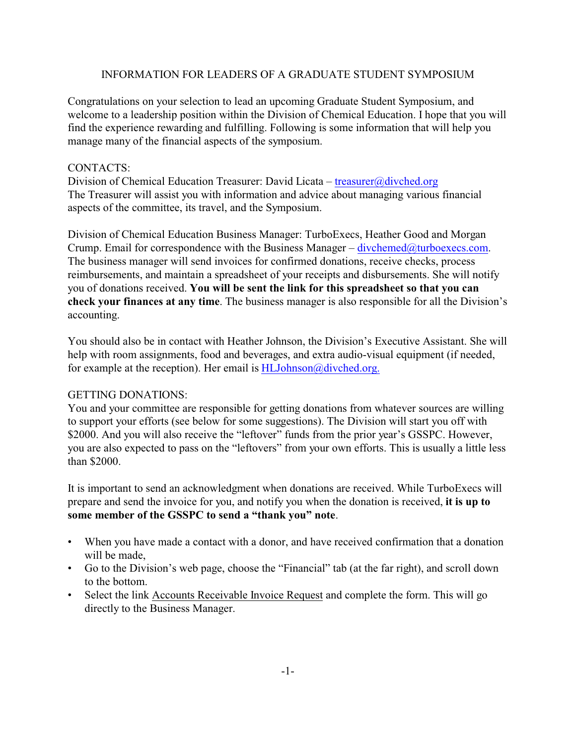### INFORMATION FOR LEADERS OF A GRADUATE STUDENT SYMPOSIUM

Congratulations on your selection to lead an upcoming Graduate Student Symposium, and welcome to a leadership position within the Division of Chemical Education. I hope that you will find the experience rewarding and fulfilling. Following is some information that will help you manage many of the financial aspects of the symposium.

## CONTACTS:

Division of Chemical Education Treasurer: David Licata – [treasurer@divched.org](mailto:treasurer@divched.org) The Treasurer will assist you with information and advice about managing various financial aspects of the committee, its travel, and the Symposium.

Division of Chemical Education Business Manager: TurboExecs, Heather Good and Morgan Crump. Email for correspondence with the Business Manager –  $divchemed@turboexecs.com$ . The business manager will send invoices for confirmed donations, receive checks, process reimbursements, and maintain a spreadsheet of your receipts and disbursements. She will notify you of donations received. **You will be sent the link for this spreadsheet so that you can check your finances at any time**. The business manager is also responsible for all the Division's accounting.

You should also be in contact with Heather Johnson, the Division's Executive Assistant. She will help with room assignments, food and beverages, and extra audio-visual equipment (if needed, for example at the reception). Her email is  $HLJohnson@divched.org.$ 

### GETTING DONATIONS:

You and your committee are responsible for getting donations from whatever sources are willing to support your efforts (see below for some suggestions). The Division will start you off with \$2000. And you will also receive the "leftover" funds from the prior year's GSSPC. However, you are also expected to pass on the "leftovers" from your own efforts. This is usually a little less than \$2000.

It is important to send an acknowledgment when donations are received. While TurboExecs will prepare and send the invoice for you, and notify you when the donation is received, **it is up to some member of the GSSPC to send a "thank you" note**.

- When you have made a contact with a donor, and have received confirmation that a donation will be made,
- Go to the Division's web page, choose the "Financial" tab (at the far right), and scroll down to the bottom.
- Select the link Accounts Receivable Invoice Request and complete the form. This will go directly to the Business Manager.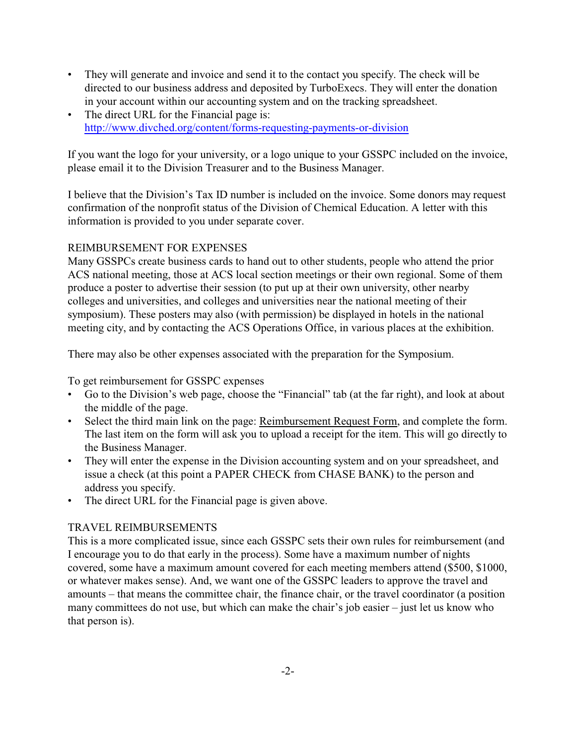- They will generate and invoice and send it to the contact you specify. The check will be directed to our business address and deposited by TurboExecs. They will enter the donation in your account within our accounting system and on the tracking spreadsheet.
- The direct URL for the Financial page is: <http://www.divched.org/content/forms-requesting-payments-or-division>

If you want the logo for your university, or a logo unique to your GSSPC included on the invoice, please email it to the Division Treasurer and to the Business Manager.

I believe that the Division's Tax ID number is included on the invoice. Some donors may request confirmation of the nonprofit status of the Division of Chemical Education. A letter with this information is provided to you under separate cover.

## REIMBURSEMENT FOR EXPENSES

Many GSSPCs create business cards to hand out to other students, people who attend the prior ACS national meeting, those at ACS local section meetings or their own regional. Some of them produce a poster to advertise their session (to put up at their own university, other nearby colleges and universities, and colleges and universities near the national meeting of their symposium). These posters may also (with permission) be displayed in hotels in the national meeting city, and by contacting the ACS Operations Office, in various places at the exhibition.

There may also be other expenses associated with the preparation for the Symposium.

To get reimbursement for GSSPC expenses

- Go to the Division's web page, choose the "Financial" tab (at the far right), and look at about the middle of the page.
- Select the third main link on the page: Reimbursement Request Form, and complete the form. The last item on the form will ask you to upload a receipt for the item. This will go directly to the Business Manager.
- They will enter the expense in the Division accounting system and on your spreadsheet, and issue a check (at this point a PAPER CHECK from CHASE BANK) to the person and address you specify.
- The direct URL for the Financial page is given above.

# TRAVEL REIMBURSEMENTS

This is a more complicated issue, since each GSSPC sets their own rules for reimbursement (and I encourage you to do that early in the process). Some have a maximum number of nights covered, some have a maximum amount covered for each meeting members attend (\$500, \$1000, or whatever makes sense). And, we want one of the GSSPC leaders to approve the travel and amounts – that means the committee chair, the finance chair, or the travel coordinator (a position many committees do not use, but which can make the chair's job easier – just let us know who that person is).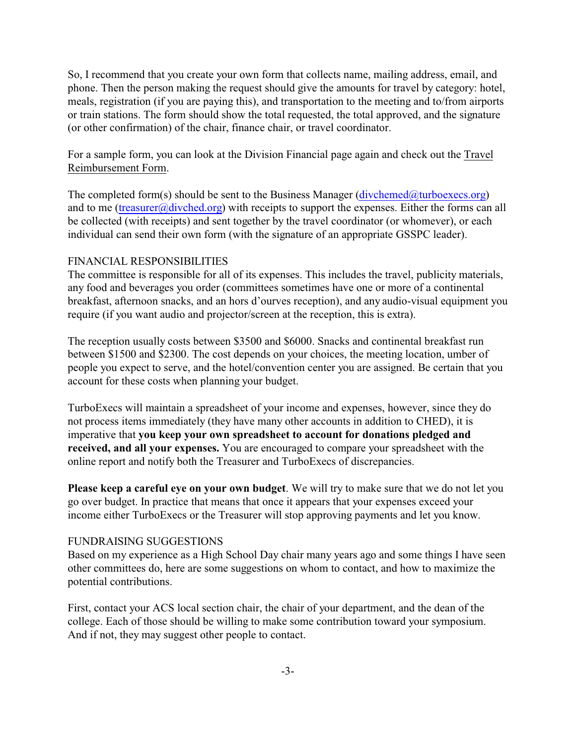So, I recommend that you create your own form that collects name, mailing address, email, and phone. Then the person making the request should give the amounts for travel by category: hotel, meals, registration (if you are paying this), and transportation to the meeting and to/from airports or train stations. The form should show the total requested, the total approved, and the signature (or other confirmation) of the chair, finance chair, or travel coordinator.

For a sample form, you can look at the Division Financial page again and check out the Travel Reimbursement Form.

The completed form(s) should be sent to the Business Manager [\(divchemed@turboexecs.org](mailto:divchemed@turboexecs.org)) and to me [\(treasurer@divched.org](mailto:treasurer@divched.org)) with receipts to support the expenses. Either the forms can all be collected (with receipts) and sent together by the travel coordinator (or whomever), or each individual can send their own form (with the signature of an appropriate GSSPC leader).

#### FINANCIAL RESPONSIBILITIES

The committee is responsible for all of its expenses. This includes the travel, publicity materials, any food and beverages you order (committees sometimes have one or more of a continental breakfast, afternoon snacks, and an hors d'ourves reception), and any audio-visual equipment you require (if you want audio and projector/screen at the reception, this is extra).

The reception usually costs between \$3500 and \$6000. Snacks and continental breakfast run between \$1500 and \$2300. The cost depends on your choices, the meeting location, umber of people you expect to serve, and the hotel/convention center you are assigned. Be certain that you account for these costs when planning your budget.

TurboExecs will maintain a spreadsheet of your income and expenses, however, since they do not process items immediately (they have many other accounts in addition to CHED), it is imperative that **you keep your own spreadsheet to account for donations pledged and received, and all your expenses.** You are encouraged to compare your spreadsheet with the online report and notify both the Treasurer and TurboExecs of discrepancies.

**Please keep a careful eye on your own budget**. We will try to make sure that we do not let you go over budget. In practice that means that once it appears that your expenses exceed your income either TurboExecs or the Treasurer will stop approving payments and let you know.

#### FUNDRAISING SUGGESTIONS

Based on my experience as a High School Day chair many years ago and some things I have seen other committees do, here are some suggestions on whom to contact, and how to maximize the potential contributions.

First, contact your ACS local section chair, the chair of your department, and the dean of the college. Each of those should be willing to make some contribution toward your symposium. And if not, they may suggest other people to contact.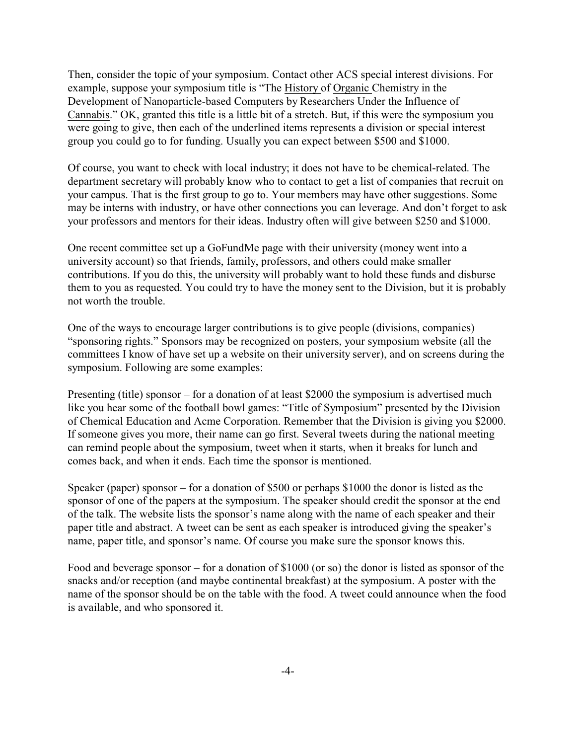Then, consider the topic of your symposium. Contact other ACS special interest divisions. For example, suppose your symposium title is "The History of Organic Chemistry in the Development of Nanoparticle-based Computers by Researchers Under the Influence of Cannabis." OK, granted this title is a little bit of a stretch. But, if this were the symposium you were going to give, then each of the underlined items represents a division or special interest group you could go to for funding. Usually you can expect between \$500 and \$1000.

Of course, you want to check with local industry; it does not have to be chemical-related. The department secretary will probably know who to contact to get a list of companies that recruit on your campus. That is the first group to go to. Your members may have other suggestions. Some may be interns with industry, or have other connections you can leverage. And don't forget to ask your professors and mentors for their ideas. Industry often will give between \$250 and \$1000.

One recent committee set up a GoFundMe page with their university (money went into a university account) so that friends, family, professors, and others could make smaller contributions. If you do this, the university will probably want to hold these funds and disburse them to you as requested. You could try to have the money sent to the Division, but it is probably not worth the trouble.

One of the ways to encourage larger contributions is to give people (divisions, companies) "sponsoring rights." Sponsors may be recognized on posters, your symposium website (all the committees I know of have set up a website on their university server), and on screens during the symposium. Following are some examples:

Presenting (title) sponsor – for a donation of at least \$2000 the symposium is advertised much like you hear some of the football bowl games: "Title of Symposium" presented by the Division of Chemical Education and Acme Corporation. Remember that the Division is giving you \$2000. If someone gives you more, their name can go first. Several tweets during the national meeting can remind people about the symposium, tweet when it starts, when it breaks for lunch and comes back, and when it ends. Each time the sponsor is mentioned.

Speaker (paper) sponsor – for a donation of \$500 or perhaps \$1000 the donor is listed as the sponsor of one of the papers at the symposium. The speaker should credit the sponsor at the end of the talk. The website lists the sponsor's name along with the name of each speaker and their paper title and abstract. A tweet can be sent as each speaker is introduced giving the speaker's name, paper title, and sponsor's name. Of course you make sure the sponsor knows this.

Food and beverage sponsor – for a donation of \$1000 (or so) the donor is listed as sponsor of the snacks and/or reception (and maybe continental breakfast) at the symposium. A poster with the name of the sponsor should be on the table with the food. A tweet could announce when the food is available, and who sponsored it.